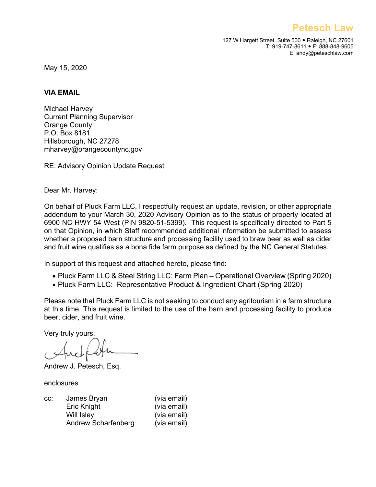**Petesch Law**

127 W Hargett Street, Suite 500 · Raleigh, NC 27601 T: 919-747-8611 • F: 888-848-9605 E: andy@peteschlaw.com

May 15, 2020

## **VIA EMAIL**

Michael Harvey Current Planning Supervisor Orange County P.O. Box 8181 Hillsborough, NC 27278 mharvey@orangecountync.gov

RE: Advisory Opinion Update Request

Dear Mr. Harvey:

On behalf of Pluck Farm LLC, I respectfully request an update, revision, or other appropriate addendum to your March 30, 2020 Advisory Opinion as to the status of property located at 6900 NC HWY 54 West (PIN 9820-51-5399). This request is specifically directed to Part 5 on that Opinion, in which Staff recommended additional information be submitted to assess whether a proposed barn structure and processing facility used to brew beer as well as cider and fruit wine qualifies as a bona fide farm purpose as defined by the NC General Statutes.

In support of this request and attached hereto, please find:

- Pluck Farm LLC & Steel String LLC: Farm Plan Operational Overview (Spring 2020)
- Pluck Farm LLC: Representative Product & Ingredient Chart (Spring 2020)

Please note that Pluck Farm LLC is not seeking to conduct any agritourism in a farm structure at this time. This request is limited to the use of the barn and processing facility to produce beer, cider, and fruit wine.

Very truly yours,

Andrew J. Petesch, Esq.

enclosures

| CC. | James Bryan         | (via email) |
|-----|---------------------|-------------|
|     | Eric Knight         | (via email) |
|     | <b>Will Isley</b>   | (via email) |
|     | Andrew Scharfenberg | (via email) |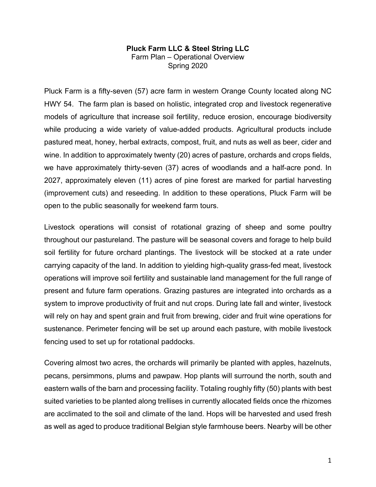## **Pluck Farm LLC & Steel String LLC** Farm Plan – Operational Overview Spring 2020

Pluck Farm is a fifty-seven (57) acre farm in western Orange County located along NC HWY 54. The farm plan is based on holistic, integrated crop and livestock regenerative models of agriculture that increase soil fertility, reduce erosion, encourage biodiversity while producing a wide variety of value-added products. Agricultural products include pastured meat, honey, herbal extracts, compost, fruit, and nuts as well as beer, cider and wine. In addition to approximately twenty (20) acres of pasture, orchards and crops fields, we have approximately thirty-seven (37) acres of woodlands and a half-acre pond. In 2027, approximately eleven (11) acres of pine forest are marked for partial harvesting (improvement cuts) and reseeding. In addition to these operations, Pluck Farm will be open to the public seasonally for weekend farm tours.

Livestock operations will consist of rotational grazing of sheep and some poultry throughout our pastureland. The pasture will be seasonal covers and forage to help build soil fertility for future orchard plantings. The livestock will be stocked at a rate under carrying capacity of the land. In addition to yielding high-quality grass-fed meat, livestock operations will improve soil fertility and sustainable land management for the full range of present and future farm operations. Grazing pastures are integrated into orchards as a system to improve productivity of fruit and nut crops. During late fall and winter, livestock will rely on hay and spent grain and fruit from brewing, cider and fruit wine operations for sustenance. Perimeter fencing will be set up around each pasture, with mobile livestock fencing used to set up for rotational paddocks.

Covering almost two acres, the orchards will primarily be planted with apples, hazelnuts, pecans, persimmons, plums and pawpaw. Hop plants will surround the north, south and eastern walls of the barn and processing facility. Totaling roughly fifty (50) plants with best suited varieties to be planted along trellises in currently allocated fields once the rhizomes are acclimated to the soil and climate of the land. Hops will be harvested and used fresh as well as aged to produce traditional Belgian style farmhouse beers. Nearby will be other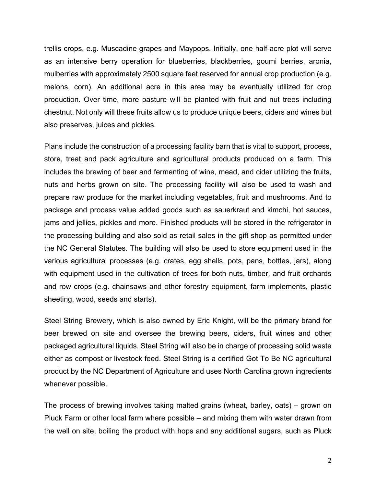trellis crops, e.g. Muscadine grapes and Maypops. Initially, one half-acre plot will serve as an intensive berry operation for blueberries, blackberries, goumi berries, aronia, mulberries with approximately 2500 square feet reserved for annual crop production (e.g. melons, corn). An additional acre in this area may be eventually utilized for crop production. Over time, more pasture will be planted with fruit and nut trees including chestnut. Not only will these fruits allow us to produce unique beers, ciders and wines but also preserves, juices and pickles.

Plans include the construction of a processing facility barn that is vital to support, process, store, treat and pack agriculture and agricultural products produced on a farm. This includes the brewing of beer and fermenting of wine, mead, and cider utilizing the fruits, nuts and herbs grown on site. The processing facility will also be used to wash and prepare raw produce for the market including vegetables, fruit and mushrooms. And to package and process value added goods such as sauerkraut and kimchi, hot sauces, jams and jellies, pickles and more. Finished products will be stored in the refrigerator in the processing building and also sold as retail sales in the gift shop as permitted under the NC General Statutes. The building will also be used to store equipment used in the various agricultural processes (e.g. crates, egg shells, pots, pans, bottles, jars), along with equipment used in the cultivation of trees for both nuts, timber, and fruit orchards and row crops (e.g. chainsaws and other forestry equipment, farm implements, plastic sheeting, wood, seeds and starts).

Steel String Brewery, which is also owned by Eric Knight, will be the primary brand for beer brewed on site and oversee the brewing beers, ciders, fruit wines and other packaged agricultural liquids. Steel String will also be in charge of processing solid waste either as compost or livestock feed. Steel String is a certified Got To Be NC agricultural product by the NC Department of Agriculture and uses North Carolina grown ingredients whenever possible.

The process of brewing involves taking malted grains (wheat, barley, oats) – grown on Pluck Farm or other local farm where possible – and mixing them with water drawn from the well on site, boiling the product with hops and any additional sugars, such as Pluck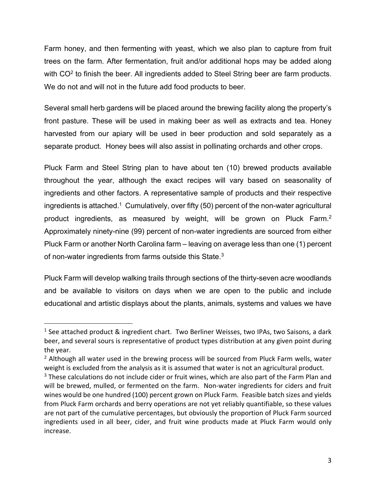Farm honey, and then fermenting with yeast, which we also plan to capture from fruit trees on the farm. After fermentation, fruit and/or additional hops may be added along with  $CO<sup>2</sup>$  to finish the beer. All ingredients added to Steel String beer are farm products. We do not and will not in the future add food products to beer.

Several small herb gardens will be placed around the brewing facility along the property's front pasture. These will be used in making beer as well as extracts and tea. Honey harvested from our apiary will be used in beer production and sold separately as a separate product. Honey bees will also assist in pollinating orchards and other crops.

Pluck Farm and Steel String plan to have about ten (10) brewed products available throughout the year, although the exact recipes will vary based on seasonality of ingredients and other factors. A representative sample of products and their respective ingredients is attached.<sup>1</sup> Cumulatively, over fifty (50) percent of the non-water agricultural product ingredients, as measured by weight, will be grown on Pluck Farm.2 Approximately ninety-nine (99) percent of non-water ingredients are sourced from either Pluck Farm or another North Carolina farm – leaving on average less than one (1) percent of non-water ingredients from farms outside this State.<sup>3</sup>

Pluck Farm will develop walking trails through sections of the thirty-seven acre woodlands and be available to visitors on days when we are open to the public and include educational and artistic displays about the plants, animals, systems and values we have

<sup>&</sup>lt;sup>1</sup> See attached product & ingredient chart. Two Berliner Weisses, two IPAs, two Saisons, a dark beer, and several sours is representative of product types distribution at any given point during the year.<br><sup>2</sup> Although all water used in the brewing process will be sourced from Pluck Farm wells, water

weight is excluded from the analysis as it is assumed that water is not an agricultural product.

 $3$  These calculations do not include cider or fruit wines, which are also part of the Farm Plan and will be brewed, mulled, or fermented on the farm. Non-water ingredients for ciders and fruit wines would be one hundred (100) percent grown on Pluck Farm. Feasible batch sizes and yields from Pluck Farm orchards and berry operations are not yet reliably quantifiable, so these values are not part of the cumulative percentages, but obviously the proportion of Pluck Farm sourced ingredients used in all beer, cider, and fruit wine products made at Pluck Farm would only increase.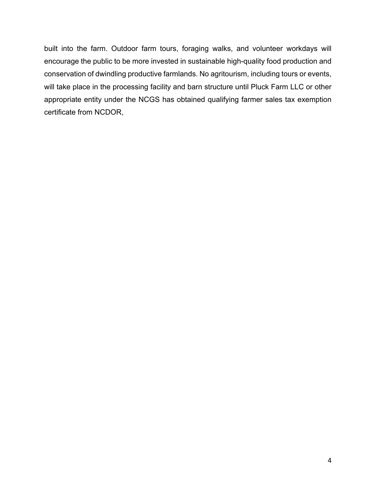built into the farm. Outdoor farm tours, foraging walks, and volunteer workdays will encourage the public to be more invested in sustainable high-quality food production and conservation of dwindling productive farmlands. No agritourism, including tours or events, will take place in the processing facility and barn structure until Pluck Farm LLC or other appropriate entity under the NCGS has obtained qualifying farmer sales tax exemption certificate from NCDOR,